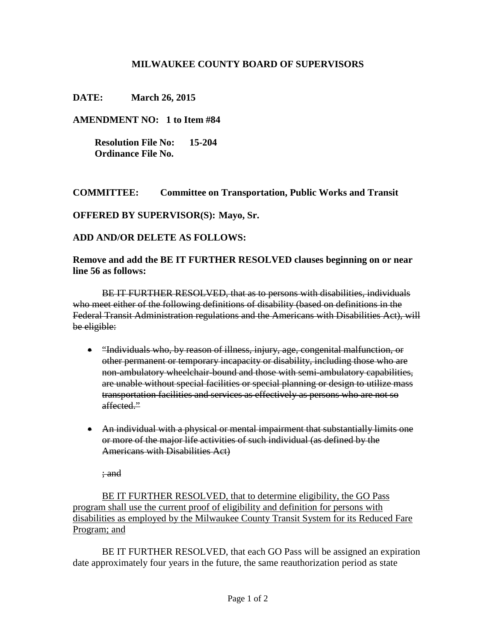## **MILWAUKEE COUNTY BOARD OF SUPERVISORS**

**DATE: March 26, 2015**

**AMENDMENT NO: 1 to Item #84**

 **Resolution File No: 15-204 Ordinance File No.**

**COMMITTEE: Committee on Transportation, Public Works and Transit**

**OFFERED BY SUPERVISOR(S): Mayo, Sr.**

**ADD AND/OR DELETE AS FOLLOWS:**

**Remove and add the BE IT FURTHER RESOLVED clauses beginning on or near line 56 as follows:**

BE IT FURTHER RESOLVED, that as to persons with disabilities, individuals who meet either of the following definitions of disability (based on definitions in the Federal Transit Administration regulations and the Americans with Disabilities Act), will be eligible:

- "Individuals who, by reason of illness, injury, age, congenital malfunction, or other permanent or temporary incapacity or disability, including those who are non-ambulatory wheelchair-bound and those with semi-ambulatory capabilities, are unable without special facilities or special planning or design to utilize mass transportation facilities and services as effectively as persons who are not so affected."
- An individual with a physical or mental impairment that substantially limits one or more of the major life activities of such individual (as defined by the Americans with Disabilities Act)

; and

BE IT FURTHER RESOLVED, that to determine eligibility, the GO Pass program shall use the current proof of eligibility and definition for persons with disabilities as employed by the Milwaukee County Transit System for its Reduced Fare Program; and

BE IT FURTHER RESOLVED, that each GO Pass will be assigned an expiration date approximately four years in the future, the same reauthorization period as state